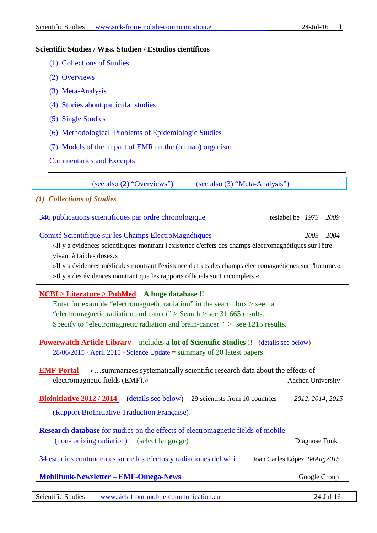#### **Scientific Studies / Wiss. Studien / Estudios científicos**

- [\(1\) Collections of Studies](#page-0-0)
- [\(2\) Overviews](#page-1-0)
- [\(3\) Meta-Analysis](#page-2-0)
- (4) Stories [about particular studies](#page-3-0)
- [\(5\) Single Studies](#page-6-0)
- [\(6\) Methodological](#page-10-0) Problems of Epidemiologic Studies
- [\(7\) Models of the impact of EMR on the \(human\) organism](#page-11-0)
- [Commentaries](#page-17-0) and Excerpts

(see also (2) "Overviews") (see also (3) "Meta-Analysis")

### <span id="page-0-0"></span>*(1) Collections of Studies*

| 346 publications scientifiques par ordre chronologique<br>teslabel.be $1973 - 2009$                                                                                                                                                                                                                                                                                                                 |                   |  |  |
|-----------------------------------------------------------------------------------------------------------------------------------------------------------------------------------------------------------------------------------------------------------------------------------------------------------------------------------------------------------------------------------------------------|-------------------|--|--|
| Comité Scientifique sur les Champs ElectroMagnétiques<br>$2003 - 2004$<br>»Il y a évidences scientifiques montrant l'existence d'effets des champs électromagnétiques sur l'être<br>vivant à faibles doses.«<br>»Il y a évidences médicales montrant l'existence d'effets des champs électromagnétiques sur l'homme.<br>»Il y a des évidences montrant que les rapports officiels sont incomplets.« |                   |  |  |
| <b>NCBI</b> > Literature > PubMed A huge database !!<br>Enter for example "electromagnetic radiation" in the search box $>$ see i.a.<br>"electromagnetic radiation and cancer" > Search > see 31 665 results.<br>Specify to "electromagnetic radiation and brain-cancer" $>$ see 1215 results.                                                                                                      |                   |  |  |
| <b>Powerwatch Article Library</b> includes a lot of Scientific Studies !! (details see below)<br>$28/06/2015$ - April 2015 - Science Update = summary of 20 latest papers                                                                                                                                                                                                                           |                   |  |  |
| »summarizes systematically scientific research data about the effects of<br><b>EMF-Portal</b><br>electromagnetic fields (EMF).«                                                                                                                                                                                                                                                                     | Aachen University |  |  |
| <b>Bioinitiative 2012 / 2014</b> (details see below) 29 scientists from 10 countries<br>(Rapport BioInitiative Traduction Française)                                                                                                                                                                                                                                                                | 2012, 2014, 2015  |  |  |
| <b>Research database</b> for studies on the effects of electromagnetic fields of mobile<br>(non-ionizing radiation) (select language)                                                                                                                                                                                                                                                               | Diagnose Funk     |  |  |
| 34 estudios contundentes sobre los efectos y radiaciones del wifi<br>Joan Carles López 04Aug2015                                                                                                                                                                                                                                                                                                    |                   |  |  |
| <b>Mobilfunk-Newsletter - EMF-Omega-News</b>                                                                                                                                                                                                                                                                                                                                                        | Google Group      |  |  |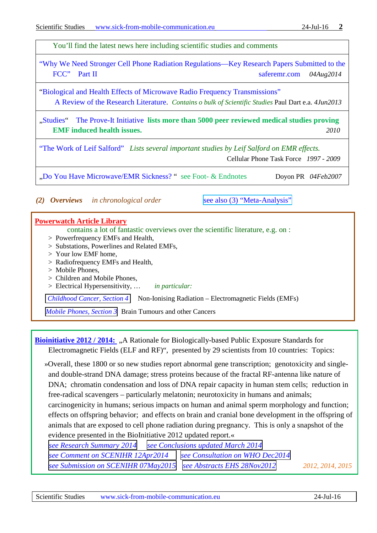<span id="page-1-0"></span>You'll find the latest news here including scientific studies and comments ["Why We Need Stronger Cell Phone Radiation Regulations—Key Research Papers Submitted to the](http://www.saferemr.com/2014/08/why-we-need-stronger-cell-phone_43.html)  [FCC"](http://www.saferemr.com/2014/08/why-we-need-stronger-cell-phone_43.html) Part II saferemr.com 04Aug2014 ["Biological and Health Effects of Microwave Radio Frequency](http://www.wifiinschools.com/uploads/3/0/4/2/3042232/paul-dart-md-lead-author-report-to-eweb-june-2013.pdf) Transmissions" [A Review of the Research Literature.](http://www.wifiinschools.com/uploads/3/0/4/2/3042232/paul-dart-md-lead-author-report-to-eweb-june-2013.pdf) *Contains o bulk of Scientific Studies* Paul Dart e.a. *4Jun2013* ["Studies"](http://www.justproveit.net/studies) [The Prove-It Initiative](http://www.justproveit.net/content/prove-it-initiative-main) **lists more than 5000 peer reviewed medical studies proving EMF induced health issues.** *2010* ["The Work of Leif Salford"](http://www.cellphonetaskforce.org/?page_id=579) *Lists several important studies by Leif Salford on EMR effects.* Cellular Phone Task Force *1997 - 2009* ["Do You Have Microwave/EMR Sickness?](http://www.buergerwelle.de/pdf/do_you_have_microwave_sickness5%5b3%5dendnotes.rtf) " see Foot- & Endnotes [D](http://www.buergerwelle.de/pdf/do_you_have_microwave_sickness5%5b4%5dfootnotes.rtf)oyon PR *04Feb2007 (2) Overviews in chronological order* see also (3) "Meta-Analysis" **[Powerwatch Article Library](http://www.powerwatch.org.uk/library/)** contains a lot of fantastic overviews over the scientific literature, e.g. on : > Powerfrequency EMFs and Health, > Substations, Powerlines and Related EMFs, > Your low EMF home, > Radiofrequency EMFs and Health, > Mobile Phones, > Children and Mobile Phones, > Electrical Hypersensitivity, … *[in](http://dict.leo.org/ende/index_de.html#/search=in&searchLoc=0&resultOrder=basic&multiwordShowSingle=on) [particular:](http://dict.leo.org/ende/index_de.html#/search=particular&searchLoc=0&resultOrder=basic&multiwordShowSingle=on) [Childhood](http://www.powerwatch.org.uk/library/downloads/child-cancer-4-non-ionising-2014-09.pdf) Cancer, Section 4*Non-Ionising Radiation – Electromagnetic Fields (EMFs) *Mobile [Phones,](http://www.powerwatch.org.uk/library/downloads/mobile-phones-3-cancer-2014-10.pdf) Section 3*Brain Tumours and other Cancers

**[Bioinitiative 2012 / 2014:](http://www.bioinitiative.org/)** "A Rationale for Biologically-based Public Exposure Standards for Electromagnetic Fields (ELF and RF)", presented by 29 scientists from 10 countries: Topics:

 »Overall, these 1800 or so new studies report abnormal gene transcription; genotoxicity and singleand double-strand DNA damage; stress proteins because of the fractal RF-antenna like nature of DNA; chromatin condensation and loss of DNA repair capacity in human stem cells; reduction in free-radical scavengers – particularly melatonin; neurotoxicity in humans and animals; carcinogenicity in humans; serious impacts on human and animal sperm morphology and function; effects on offspring behavior; and effects on brain and cranial bone development in the offspring of animals that are exposed to cell phone radiation during pregnancy. This is only a snapshot of the evidence presented in the BioInitiative 2012 updated report.« *see Research [Summary](http://www.bioinitiative.org/research-summaries) 2014 see [Conclusions](http://www.bioinitiative.org/report/wp-content/uploads/pdfs/section_1_table_1_2012.pdf) updated March 2014*

*see Comment on SCENIHR [12Apr2014](http://www.bioinitiative.org/potential-health-effects-emf/) see [Consultation](http://www.bioinitiative.org/consultation-on-scientific-review-for-the-upcoming-who-environmental-health-criteria/) on WHO Dec2014 see Submission on SCENIHR [07May2015](http://www.bioinitiative.org/submission-of-comments-on-final-scenihr-opinion-from-the-bioinitiative-working-group/) see Abstracts EHS [28Nov2012](http://www.bioinitiative.org/report/wp-content/uploads/pdfs/Electrohypersensitivity.pdf) 2012, 2014, 2015*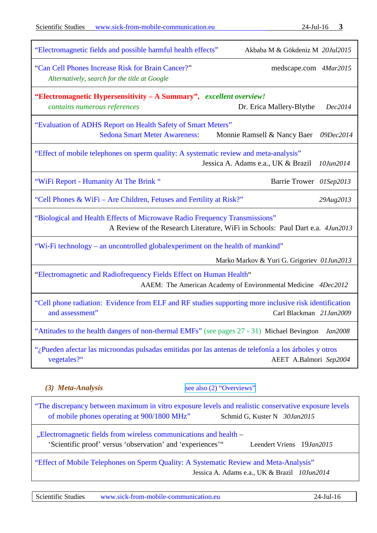| <b>Scientific Studies</b><br>www.sick-from-mobile-communication.eu                                                       | $24$ -Jul-16 3                                                                |
|--------------------------------------------------------------------------------------------------------------------------|-------------------------------------------------------------------------------|
| "Electromagnetic fields and possible harmful health effects"                                                             | Akbaba M & Gökdeniz M 20Jul2015                                               |
| "Can Cell Phones Increase Risk for Brain Cancer?"<br>Alternatively, search for the title at Google                       | medscape.com 4Mar2015                                                         |
| "Electromagnetic Hypersensitivity – A Summary", excellent overview!<br>contains numerous references                      | Dr. Erica Mallery-Blythe<br>Dec2014                                           |
| "Evaluation of ADHS Report on Health Safety of Smart Meters"<br><b>Sedona Smart Meter Awareness:</b>                     | Monnie Ramsell & Nancy Baer<br>09Dec2014                                      |
| "Effect of mobile telephones on sperm quality: A systematic review and meta-analysis"                                    | Jessica A. Adams e.a., UK & Brazil<br>10Jun2014                               |
| "WiFi Report - Humanity At The Brink"                                                                                    | Barrie Trower 01Sep2013                                                       |
| "Cell Phones & WiFi - Are Children, Fetuses and Fertility at Risk?"                                                      | 29Aug2013                                                                     |
| "Biological and Health Effects of Microwave Radio Frequency Transmissions"                                               | A Review of the Research Literature, WiFi in Schools: Paul Dart e.a. 4Jun2013 |
| "Wi-Fi technology – an uncontrolled globalexperiment on the health of mankind"                                           | Marko Markov & Yuri G. Grigoriev 01Jun2013                                    |
| "Electromagnetic and Radiofrequency Fields Effect on Human Health"                                                       | AAEM: The American Academy of Environmental Medicine 4Dec2012                 |
| "Cell phone radiation: Evidence from ELF and RF studies supporting more inclusive risk identification<br>and assessment" | Carl Blackman 21Jan2009                                                       |
| "Attitudes to the health dangers of non-thermal EMFs" (see pages 27 - 31) Michael Bevington                              | Jan2008                                                                       |
| "¿Pueden afectar las microondas pulsadas emitidas por las antenas de telefonía a los árboles y otros<br>vegetales?"      | AEET A.Balmori Sep2004                                                        |
| (3) Meta-Analysis                                                                                                        | see also (2) "Overviews"                                                      |

<span id="page-2-0"></span>["The discrepancy between maximum in vitro exposure levels](http://www.ncbi.nlm.nih.gov/pubmed/25644546) and realistic conservative exposure levels [of mobile phones operating at 900/1800 MHz"](http://www.ncbi.nlm.nih.gov/pubmed/25644546)[Schmid G,](http://www.ncbi.nlm.nih.gov/pubmed/?term=Schmid%20G%5BAuthor%5D&cauthor=true&cauthor_uid=25644546) [Kuster N](http://www.ncbi.nlm.nih.gov/pubmed/?term=Kuster%20N%5BAuthor%5D&cauthor=true&cauthor_uid=25644546) *30Jan2015*

["Electromagnetic fields from wireless](http://www.powerwatch.org.uk/news/2015-01-20-vriens-emf-health-proof.pdf) communications and health – 'Scientific proof' versus 'observation' and 'experiences'"Leendert Vriens 19*Jan2015*

["Effect of Mobile Telephones on Sperm Quality: A Systematic Review and Meta-Analysis"](http://www.sciencedirect.com/science/article/pii/S0160412014001354) Jessica A. Adams e.a., UK & Brazil *10Jun2014*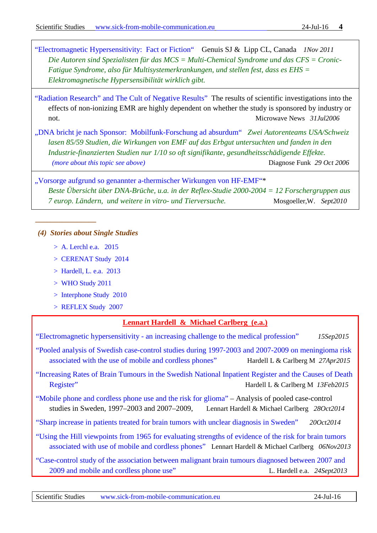["Electromagnetic Hypersensitivity: Fact or Fiction"](http://www.stopumts.nl/pdf/EHS%20Fact%20or%20fiction.pdf) [Genuis](http://www.pubfacts.com/author/Stephen+J+Genuis) SJ & [Lipp](http://www.pubfacts.com/author/Christopher+T+Lipp) CL, Canada *1Nov 2011 Die Autoren sind Spezialisten für das MCS = Multi-Chemical Syndrome und das CFS = Cronic-Fatigue Syndrome, also für Multisystemerkrankungen, und stellen fest, dass es EHS = Elektromagnetische Hypersensibilität wirklich gibt.*

["Radiation Research" and The Cult of Negative Results"](http://www.microwavenews.com/RR.html) The results of scientific investigations into the effects of non-ionizing EMR are highly dependent on whether the study is sponsored by industry or not. Microwave News *31Jul2006* 

["DNA bricht je nach Sponsor: Mobilfunk-Forschung ad absurdum"](http://www.diagnose-funk.org/downloads/brennpunktdnabrichtjenachsponsor20061029.pdf) *Zwei Autorenteams USA/Schweiz lasen 85/59 Studien, die Wirkungen von EMF auf das Erbgut untersuchten und fanden in den Industrie-finanzierten Studien nur 1/10 so oft signifikante, gesundheitsschädigende Effekte. (more about this topic see above)* Diagnose Funk *29 Oct 2006*

["Vorsorge aufgrund so genannter a-thermischer Wirkungen von HF-EMF"\\*](http://www.electrosense.nl/nl/download/10) *Beste Übersicht über DNA-Brüche, u.a. in der Reflex-Studie 2000-2004 = 12 Forschergruppen aus 7 europ. Ländern, und weitere in vitro- und Tierversuche.* Mosgoeller,W. *Sept2010*

### <span id="page-3-0"></span>*(4) Stories about Single Studies*

*\_\_\_\_\_\_\_\_\_\_\_\_\_\_\_\_*

- > A. Lerchl e.a. 2015
- > CERENAT Study 2014
- [> Hardell, L. e.a. 2013](#page-3-1)
- > WHO Study 2011
- > Interphone Study 2010
- > REFLEX Study 2007

### **Lennart Hardell & Michael Carlberg (e.a.)**

<span id="page-3-1"></span>"Electromagnetic hypersensitivity - [an increasing challenge to the medical profession"](http://www.ncbi.nlm.nih.gov/pubmed/26372109) *15Sep2015*

["Pooled analysis of Swedish case-control studies during 1997](http://www.spandidos-publications.com/or/33/6/3093)‑2003 and 2007-2009 on meningioma risk [associated with the use of mobile and cordless phones"](http://www.spandidos-publications.com/or/33/6/3093) Hardell L & Carlberg M 27Apr2015

["Increasing Rates of Brain Tumours in the Swedish National Inpatient Register and the Causes of Death](http://www.mdpi.com/1660-4601/12/4/3793)  [Register"](http://www.mdpi.com/1660-4601/12/4/3793) Hardell L & Carlberg M *13Feb2015*

["Mobile phone and cordless phone use and the risk for glioma"](http://www.pathophysiologyjournal.com/article/S0928-4680%2814%2900064-9/fulltext) – Analysis of pooled case-control studies in Sweden, 1997–2003 and 2007–2009, Lennart Hardell & Michael Carlberg *28Oct2014*

["Sharp increase in patients treated for brain tumors with unclear diagnosis in Sweden"](http://www.stralskyddsstiftelsen.se/2014/10/increase-brain-tumors/) *20Oct2014*

["Using the Hill viewpoints from 1965 for evaluating strengths of evidence of the risk for brain tumors](http://www.degruyter.com/view/j/reveh.2013.28.issue-2-3/reveh-2013-0006/reveh-2013-0006.xml)  [associated with use of mobile and cordless phones"](http://www.degruyter.com/view/j/reveh.2013.28.issue-2-3/reveh-2013-0006/reveh-2013-0006.xml) Lennart Hardell & Michael Carlberg *06Nov2013*

"Case-control study of the association [between malignant brain tumours diagnosed between 2007 and](http://www.spandidos-publications.com/10.3892/ijo.2013.2111)  [2009 and mobile and cordless phone use"](http://www.spandidos-publications.com/10.3892/ijo.2013.2111)L. Hardell e.a.*24Sept2013*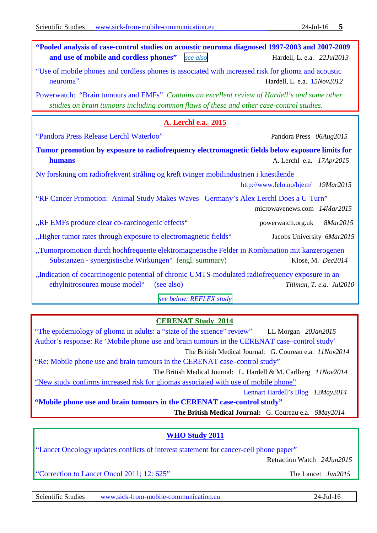<span id="page-4-0"></span>

| "Pooled analysis of case-control studies on acoustic neuroma diagnosed 1997-2003 and 2007-2009<br>and use of mobile and cordless phones"                                                  | see also                | Hardell, L. e.a. 22Jul2013         |
|-------------------------------------------------------------------------------------------------------------------------------------------------------------------------------------------|-------------------------|------------------------------------|
| "Use of mobile phones and cordless phones is associated with increased risk for glioma and acoustic<br>neuroma"<br>Hardell, L. e.a. 15Nov2012                                             |                         |                                    |
| Powerwatch: "Brain tumours and EMFs" Contains an excellent review of Hardell's and some other<br>studies on brain tumours including common flaws of these and other case-control studies. |                         |                                    |
|                                                                                                                                                                                           | A. Lerchl e.a. 2015     |                                    |
| "Pandora Press Release Lerchl Waterloo"                                                                                                                                                   |                         | Pandora Press 06Aug2015            |
| Tumor promotion by exposure to radiofrequency electromagnetic fields below exposure limits for<br>humans                                                                                  |                         | A. Lerchl e.a. 17Apr2015           |
| Ny forskning om radiofrekvent stråling og kreft tvinger mobilindustrien i knestående                                                                                                      |                         | http://www.felo.no/hjem/ 19Mar2015 |
| "RF Cancer Promotion: Animal Study Makes Waves Germany's Alex Lerchl Does a U-Turn"                                                                                                       |                         | microwavenews.com 14Mar2015        |
| "RF EMFs produce clear co-carcinogenic effects"                                                                                                                                           |                         | powerwatch.org.uk 8Mar2015         |
| "Higher tumor rates through exposure to electromagnetic fields"                                                                                                                           |                         | Jacobs University 6Mar2015         |
| "Tumorpromotion durch hochfrequente elektromagnetische Felder in Kombination mit kanzerogenen<br>Substanzen - synergistische Wirkungen" (engl. summary)                                   |                         | Klose, M. Dec2014                  |
| "Indication of cocarcinogenic potential of chronic UMTS-modulated radiofrequency exposure in an<br>ethylnitrosourea mouse model"<br>(see also)                                            |                         | Tillman, T. e.a. Jul2010           |
|                                                                                                                                                                                           | see below: REFLEX study |                                    |

# **CERENAT Study 2014**

["The epidemiology of glioma in adults: a "state of the science" review"](http://neuro-oncology.oxfordjournals.org/content/17/4/623.extract) LL Morgan *20Jan2015* [Author's response: Re 'Mobile phone use and brain tumours in the CERENAT case–control study'](http://oem.bmj.com/content/72/1/79.2.full) The British Medical Journal: G. Coureau e.a. *11Nov2014* ["Re: Mobile phone use and brain tumours in the CERENAT case–control study"](http://oem.bmj.com/content/72/1/79.1.full) The British Medical Journal: L. Hardell & M. Carlberg *11Nov2014*  ["New study confirms increased risk for gliomas associated with use of mobile phone"](https://lennarthardellenglish.wordpress.com/2014/05/12/new-study-confirms-increased-risk-for-gliomas-associated-with-use-of-mobile-phone) Lennart Hardell's Blog *12May2014*  **["Mobile phone use and brain tumours in the CERENAT case-control study"](http://oem.bmj.com/content/early/2014/05/09/oemed-2013-101754) The British Medical Journal:** G. Coureau e.a. *9May2014*

### **WHO Study 2011**

"Lancet Oncology updates conflicts of interest statement for cancer-cell phone paper"

Retraction Watch *24Jun2015*

["Correction to Lancet Oncol 2011; 12: 625"](http://www.thelancet.com/journals/lanonc/article/PIIS1470-2045%2815%2900119-9/fulltext) The Lancet *Jun2015*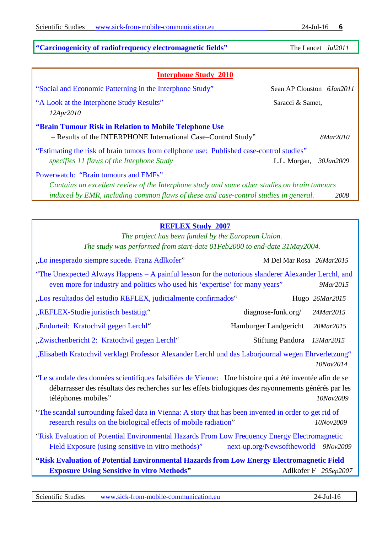# **["Carcinogenicity of radiofrequency electromagnetic fields"](http://www.thelancet.com/journals/lanonc/article/PIIS1470-2045%2811%2970147-4/fulltext?_eventId=login)** The Lancet *Jul2011*

| <b>Interphone Study 2010</b>                                                                                            |                           |  |  |
|-------------------------------------------------------------------------------------------------------------------------|---------------------------|--|--|
| "Social and Economic Patterning in the Interphone Study"                                                                | Sean AP Clouston 6Jan2011 |  |  |
| "A Look at the Interphone Study Results"<br>12Apr2010                                                                   | Saracci & Samet,          |  |  |
| "Brain Tumour Risk in Relation to Mobile Telephone Use<br>- Results of the INTERPHONE International Case-Control Study" | 8Mar2010                  |  |  |
| "Estimating the risk of brain tumors from cellphone use: Published case-control studies"                                |                           |  |  |
| specifies 11 flaws of the Intephone Study                                                                               | L.L. Morgan, 30Jan2009    |  |  |
| Powerwatch: "Brain tumours and EMFs"                                                                                    |                           |  |  |
| Contains an excellent review of the Interphone study and some other studies on brain tumours                            |                           |  |  |
| induced by EMR, including common flaws of these and case-control studies in general.<br>2008                            |                           |  |  |

# **[REFLEX Study](http://web.archive.org/web/20070929204258/http:/www.verum-foundation.de/cgi-bin/content.cgi?id=euprojekte01) 2007**

*The project has been funded by the European Union. The study was performed from start-date 01Feb2000 to end-date 31May2004.*

<span id="page-5-0"></span>

| "Lo inesperado siempre sucede. Franz Adlkofer"                                                                                                                                                                                         | M Del Mar Rosa 26Mar2015            |                      |
|----------------------------------------------------------------------------------------------------------------------------------------------------------------------------------------------------------------------------------------|-------------------------------------|----------------------|
| "The Unexpected Always Happens – A painful lesson for the notorious slanderer Alexander Lerchl, and<br>even more for industry and politics who used his 'expertise' for many years'                                                    |                                     | 9Mar2015             |
| "Los resultados del estudio REFLEX, judicialmente confirmados"                                                                                                                                                                         |                                     | Hugo 26Mar2015       |
| "REFLEX-Studie juristisch bestätigt"                                                                                                                                                                                                   | $diagnose-funk.org/$                | 24Mar2015            |
| "Endurteil: Kratochvil gegen Lerchl"                                                                                                                                                                                                   | Hamburger Landgericht               | 20Mar2015            |
| "Zwischenbericht 2: Kratochvil gegen Lerchl"                                                                                                                                                                                           | Stiftung Pandora 13Mar2015          |                      |
| "Elisabeth Kratochvil verklagt Professor Alexander Lerchl und das Laborjournal wegen Ehrverletzung"                                                                                                                                    |                                     | 10Nov2014            |
| "Le scandale des données scientifiques falsifiées de Vienne: Une histoire qui a été inventée afin de se<br>débarrasser des résultats des recherches sur les effets biologiques des rayonnements générés par les<br>téléphones mobiles" |                                     | 10Nov2009            |
| "The scandal surrounding faked data in Vienna: A story that has been invented in order to get rid of<br>research results on the biological effects of mobile radiation"                                                                |                                     | 10Nov2009            |
| "Risk Evaluation of Potential Environmental Hazards From Low Frequency Energy Electromagnetic                                                                                                                                          |                                     |                      |
| Field Exposure (using sensitive in vitro methods)"                                                                                                                                                                                     | next-up.org/Newsoftheworld 9Nov2009 |                      |
| "Risk Evaluation of Potential Environmental Hazards from Low Energy Electromagnetic Field                                                                                                                                              |                                     |                      |
| <b>Exposure Using Sensitive in vitro Methods"</b>                                                                                                                                                                                      |                                     | Adlkofer F 29Sep2007 |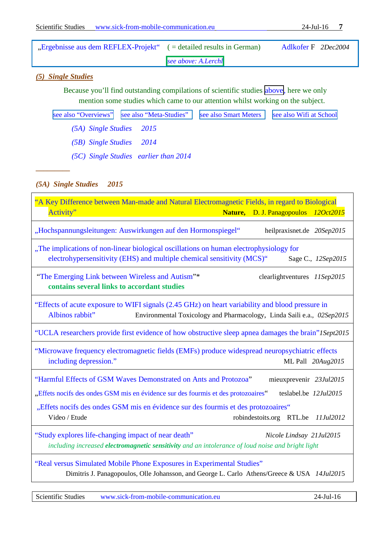| "Ergebnisse aus dem REFLEX-Projekt" (= detailed results in German) |                     | Adlkofer F 2Dec2004 |  |
|--------------------------------------------------------------------|---------------------|---------------------|--|
|                                                                    | see above: A.Lerchl |                     |  |

### <span id="page-6-0"></span>*(5) Single Studies*

Because you'll find outstanding compilations of scientific studies above, here we only mention some studies which came to our attention whilst working on the subject.

|                          | see also "Overviews"   see also "Meta-Studies"   see also Smart Meters   see also Wifi at School |  |
|--------------------------|--------------------------------------------------------------------------------------------------|--|
| (5A) Single Studies 2015 |                                                                                                  |  |

*[\(5B\) Single Studies 2014](#page-9-0)*

*[\(5C\) Single Studies earlier than 2014](#page-9-1)*

# <span id="page-6-1"></span>*(5A) Single Studies 2015*

*–––––––––*

| "A Key Difference between Man-made and Natural Electromagnetic Fields, in regard to Biological<br>Activity"<br>Nature, D. J. Panagopoulos 120ct2015                                                                                                                                                                                                      |  |  |  |
|----------------------------------------------------------------------------------------------------------------------------------------------------------------------------------------------------------------------------------------------------------------------------------------------------------------------------------------------------------|--|--|--|
| "Hochspannungsleitungen: Auswirkungen auf den Hormonspiegel"<br>heilpraxisnet.de 20Sep2015                                                                                                                                                                                                                                                               |  |  |  |
| "The implications of non-linear biological oscillations on human electrophysiology for<br>electrohypersensitivity (EHS) and multiple chemical sensitivity (MCS)"<br>Sage C., 12Sep2015                                                                                                                                                                   |  |  |  |
| "The Emerging Link between Wireless and Autism"*<br>clearlightventures 11Sep2015<br>contains several links to accordant studies                                                                                                                                                                                                                          |  |  |  |
| "Effects of acute exposure to WIFI signals (2.45 GHz) on heart variability and blood pressure in<br>Albinos rabbit"<br>Environmental Toxicology and Pharmacology, Linda Saili e.a., 02Sep2015                                                                                                                                                            |  |  |  |
| "UCLA researchers provide first evidence of how obstructive sleep apnea damages the brain" ISept2015                                                                                                                                                                                                                                                     |  |  |  |
| "Microwave frequency electromagnetic fields (EMFs) produce widespread neuropsychiatric effects<br>including depression."<br>ML Pall 20Aug2015                                                                                                                                                                                                            |  |  |  |
| "Harmful Effects of GSM Waves Demonstrated on Ants and Protozoa"<br>mieuxprevenir 23Jul2015<br>"Effets nocifs des ondes GSM mis en évidence sur des fourmis et des protozoaires"<br>teslabel.be 12Jul2015<br>"Effets nocifs des ondes GSM mis en évidence sur des fourmis et des protozoaires"<br>Video / Etude<br>robindestoits.org RTL.be<br>11Jul2012 |  |  |  |
| "Study explores life-changing impact of near death"<br>Nicole Lindsay 21Jul2015<br>including increased electromagnetic sensitivity and an intolerance of loud noise and bright light                                                                                                                                                                     |  |  |  |
| "Real versus Simulated Mobile Phone Exposures in Experimental Studies"<br>Dimitris J. Panagopoulos, Olle Johansson, and George L. Carlo Athens/Greece & USA 14Jul2015                                                                                                                                                                                    |  |  |  |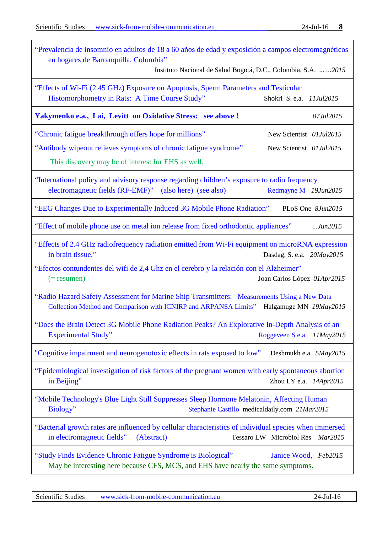| "Prevalencia de insomnio en adultos de 18 a 60 años de edad y exposición a campos electromagnéticos<br>en hogares de Barranquilla, Colombia"<br>Instituto Nacional de Salud Bogotá, D.C., Colombia, S.A.   2015                                                                                  |
|--------------------------------------------------------------------------------------------------------------------------------------------------------------------------------------------------------------------------------------------------------------------------------------------------|
| "Effects of Wi-Fi (2.45 GHz) Exposure on Apoptosis, Sperm Parameters and Testicular<br>Histomorphometry in Rats: A Time Course Study"<br>Shokri S. e.a. 11Jul2015                                                                                                                                |
| Yakymenko e.a., Lai, Levitt on Oxidative Stress: see above !<br>07Jul2015                                                                                                                                                                                                                        |
| "Chronic fatigue breakthrough offers hope for millions"<br>New Scientist 01Jul2015                                                                                                                                                                                                               |
| "Antibody wipeout relieves symptoms of chronic fatigue syndrome"<br>New Scientist 01Jul2015<br>This discovery may be of interest for EHS as well.                                                                                                                                                |
| "International policy and advisory response regarding children's exposure to radio frequency<br>electromagnetic fields (RF-EMF)"<br>(also here) (see also)<br>Redmayne M 19Jun2015                                                                                                               |
| "EEG Changes Due to Experimentally Induced 3G Mobile Phone Radiation"<br>PLoS One 8Jun2015                                                                                                                                                                                                       |
| "Effect of mobile phone use on metal ion release from fixed orthodontic appliances"<br>$$ Jun $2015$                                                                                                                                                                                             |
| "Effects of 2.4 GHz radiofrequency radiation emitted from Wi-Fi equipment on microRNA expression<br>in brain tissue."<br>Dasdag, S. e.a. 20May2015<br>"Efectos contundentes del wifi de 2,4 Ghz en el cerebro y la relación con el Alzheimer"<br>Joan Carlos López 01Apr2015<br>$(=$ resumen $)$ |
| "Radio Hazard Safety Assessment for Marine Ship Transmitters: Measurements Using a New Data<br>Collection Method and Comparison with ICNIRP and ARPANSA Limits"<br>Halgamuge MN 19May2015                                                                                                        |
| "Does the Brain Detect 3G Mobile Phone Radiation Peaks? An Explorative In-Depth Analysis of an<br><b>Experimental Study"</b><br>Roggeveen S e.a. 11May2015                                                                                                                                       |
| "Cognitive impairment and neurogenotoxic effects in rats exposed to low"<br>Deshmukh e.a. 5May2015                                                                                                                                                                                               |
| "Epidemiological investigation of risk factors of the pregnant women with early spontaneous abortion<br>in Beijing"<br>Zhou LY e.a. 14Apr2015                                                                                                                                                    |
| "Mobile Technology's Blue Light Still Suppresses Sleep Hormone Melatonin, Affecting Human<br>Biology"<br>Stephanie Castillo medicaldaily.com 21Mar2015                                                                                                                                           |
| "Bacterial growth rates are influenced by cellular characteristics of individual species when immersed<br>in electromagnetic fields"<br>Tessaro LW Microbiol Res Mar2015<br>(Abstract)                                                                                                           |
| "Study Finds Evidence Chronic Fatigue Syndrome is Biological"<br>Janice Wood, Feb2015<br>May be interesting here because CFS, MCS, and EHS have nearly the same symptoms.                                                                                                                        |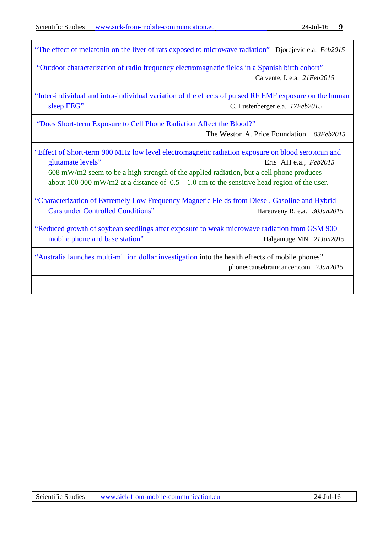["The effect of melatonin on the liver of rats exposed to microwave radiation"](http://www.elis.sk/index.php?page=shop.product_details&flypage=flypage.tpl&product_id=4155&category_id=118&option=com_virtuemart)Djordjevic e.a. *Feb2015*

["Outdoor characterization of radio frequency electromagnetic fields in a Spanish birth cohort"](http://www.ncbi.nlm.nih.gov/pubmed?term=25707018%5Buid%5D&cmd=DetailsSearch) Calvente, I. e.a. *21Feb2015*

"Inter-individual and intra-individual variation [of the effects of pulsed RF EMF exposure on the human](http://onlinelibrary.wiley.com/doi/10.1002/bem.21893/full)  [sleep EEG"](http://onlinelibrary.wiley.com/doi/10.1002/bem.21893/full) C. Lustenberger e.a. *17Feb2015*

["Does Short-term Exposure to Cell Phone Radiation Affect the Blood?"](http://www.globalresearch.ca/does-short-term-exposure-to-cell-phone-radiation-affect-the-blood/5429108)

The Weston A. Price Foundation*03Feb2015*

["Effect of Short-term 900 MHz low level electromagnetic radiation](http://www.elis.sk/download_file.php?product_id=4156&session_id=for4bn9btald636t0onl3b9hq1) exposure on blood serotonin and [glutamate levels"](http://www.elis.sk/download_file.php?product_id=4156&session_id=for4bn9btald636t0onl3b9hq1) Eris AH e.a., *Feb2015*

608 mW/m2 seem to be a high strength of the applied radiation, but a cell phone produces about 100 000 mW/m2 at a distance of  $0.5 - 1.0$  cm to the sensitive head region of the user.

["Characterization of Extremely Low Frequency Magnetic Fields from Diesel, Gasoline and Hybrid](http://people.eng.unimelb.edu.au/malkah/Publications/2015_UCLA_HybryidCar.pdf)  [Cars under Controlled Conditions"](http://people.eng.unimelb.edu.au/malkah/Publications/2015_UCLA_HybryidCar.pdf) Hareuveny R. e.a. 30Jan2015

["Reduced growth of soybean seedlings after exposure to weak microwave radiation](http://onlinelibrary.wiley.com/doi/10.1002/BEM.21890/abstract;jsessionid=47C211CBACA2C403615A254C872FACF2.f03t02) from GSM 900 [mobile phone and base station"](http://onlinelibrary.wiley.com/doi/10.1002/BEM.21890/abstract;jsessionid=47C211CBACA2C403615A254C872FACF2.f03t02) Halgamuge MN 21Jan2015

["Australia launches multi-million dollar investigation](http://www.phonescausebraincancer.com/australia-launches-multi-million-dollar-investigation-into-the-health-effects-of-mobile-phones/) into the health effects of mobile phones" phonescausebraincancer.com *7Jan2015*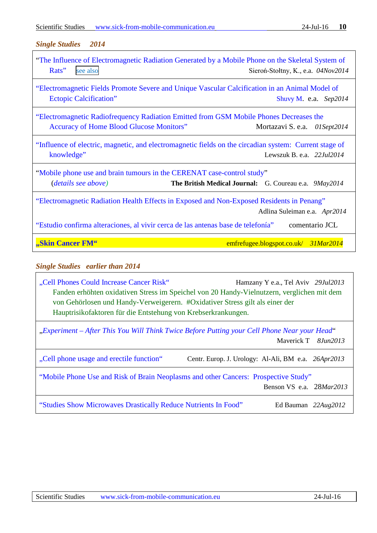#### <span id="page-9-0"></span>*Single Studies 2014*

| "The Influence of Electromagnetic Radiation Generated by a Mobile Phone on the Skeletal System of<br>Rats"<br>see also<br>Sieroń-Stołtny, K., e.a. 04Nov2014       |                                        |  |
|--------------------------------------------------------------------------------------------------------------------------------------------------------------------|----------------------------------------|--|
| "Electromagnetic Fields Promote Severe and Unique Vascular Calcification in an Animal Model of<br><b>Ectopic Calcification</b> "<br>Shuvy M. e.a. $Sep2014$        |                                        |  |
| "Electromagnetic Radiofrequency Radiation Emitted from GSM Mobile Phones Decreases the<br>Accuracy of Home Blood Glucose Monitors"<br>Mortazavi S. e.a. 01Sept2014 |                                        |  |
| "Influence of electric, magnetic, and electromagnetic fields on the circadian system: Current stage of<br>knowledge"                                               | Lewszuk B. e.a. $22$ <i>Jul</i> $2014$ |  |
| "Mobile phone use and brain tumours in the CERENAT case-control study"<br><i>(details see above)</i><br>The British Medical Journal: G. Coureau e.a. 9May2014      |                                        |  |
| "Electromagnetic Radiation Health Effects in Exposed and Non-Exposed Residents in Penang"<br>Adlina Suleiman e.a. Apr2014                                          |                                        |  |
| "Estudio confirma alteraciones, al vivir cerca de las antenas base de telefonía"                                                                                   | comentario JCL                         |  |
| "Skin Cancer FM"                                                                                                                                                   | emfrefugee.blogspot.co.uk/31Mar2014    |  |

### <span id="page-9-1"></span>*Single Studies earlier than 2014*

["Cell Phones Could Increase Cancer Risk"](http://www.eurekalert.org/pub_releases/2013-07/afot-cpc072913.php)Hamzany Y e.a., Tel Aviv *29Jul2013* Fanden erhöhten oxidativen Stress im Speichel von 20 Handy-Vielnutzern, verglichen mit dem von Gehörlosen und Handy-Verweigerern. #Oxidativer Stress gilt als einer der Hauptrisikofaktoren für die Entstehung von Krebserkrankungen.

| "Experiment – After This You Will Think Twice Before Putting your Cell Phone Near your Head" |                                                     |  |  |
|----------------------------------------------------------------------------------------------|-----------------------------------------------------|--|--|
|                                                                                              | Maverick T 8Jun2013                                 |  |  |
| "Cell phone usage and erectile function"                                                     | Centr. Europ. J. Urology: Al-Ali, BM e.a. 26Apr2013 |  |  |
| "Mobile Phone Use and Risk of Brain Neoplasms and other Cancers: Prospective Study"          |                                                     |  |  |
|                                                                                              | Benson VS e.a. 28Mar2013                            |  |  |
| "Studies Show Microwaves Drastically Reduce Nutrients In Food"                               | Ed Bauman $22Aug2012$                               |  |  |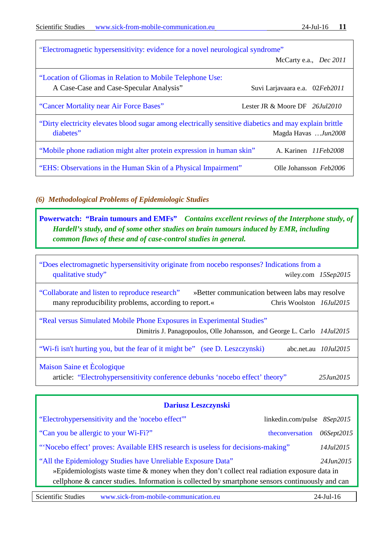| "Electromagnetic hypersensitivity: evidence for a novel neurological syndrome"                                                             |                                                 |  |
|--------------------------------------------------------------------------------------------------------------------------------------------|-------------------------------------------------|--|
|                                                                                                                                            | McCarty e.a., <i>Dec</i> 2011                   |  |
| "Location of Gliomas in Relation to Mobile Telephone Use:                                                                                  |                                                 |  |
| A Case-Case and Case-Specular Analysis"                                                                                                    | Suvi Larjavaara e.a. 02Feb2011                  |  |
| "Cancer Mortality near Air Force Bases"                                                                                                    | Lester JR $&$ Moore DF $\,$ 26. <i>Iul</i> 2010 |  |
| "Dirty electricity elevates blood sugar among electrically sensitive diabetics and may explain brittle<br>diabetes"<br>Magda Havas Jun2008 |                                                 |  |
| "Mobile phone radiation might alter protein expression in human skin"                                                                      | A. Karinen 11Feb2008                            |  |
| "EHS: Observations in the Human Skin of a Physical Impairment"                                                                             | Olle Johansson Feb2006                          |  |

### <span id="page-10-0"></span>*(6) Methodological Problems of Epidemiologic Studies*

**[Powerwatch: "Brain tumours](http://www.powerwatch.org.uk/health/braintumours.asp) and EMFs"** *Contains excellent reviews of the Interphone study, of Hardell's study, and of some other studies on brain tumours induced by EMR, including common flaws of these and of case-control studies in general.* 

["Does electromagnetic hypersensitivity originate from nocebo responses? Indications from a](http://onlinelibrary.wiley.com/doi/10.1002/bem.21937/abstract)  [qualitative study"](http://onlinelibrary.wiley.com/doi/10.1002/bem.21937/abstract) wiley.com 15Sep2015

["Collaborate and listen to reproduce research"](http://www.nature.com/news/collaborate-and-listen-to-reproduce-research-1.18005) »Better communication between labs may resolve many reproducibility problems, according to report.« Chris Woolston *16Jul2015* 

["Real versus Simulated Mobile Phone Exposures in Experimental Studies"](http://www.hindawi.com/journals/bmri/2015/607053/) Dimitris J. Panagopoulos, Olle Johansson, and George L. Carlo *14Jul2015*

["Wi-fi isn't hurting you, but the fear of it might be"](http://www.abc.net.au/news/2015-07-10/clay-wi-fi-might-not-hurt-us-but-fear-of-it-certainly-does/6607860) (see D. Leszczynski) abc.net.au *10Jul2015*

[Maison Saine et Ècologique](https://maisonsaine.ca/english/) article: "Electrohypersensitivity [conference debunks 'nocebo effect' theory"](https://maisonsaine.ca/english/electrohypersensitivity-conference-debunks-nocebo-effect-theory.html) *25Jun2015*

| Dariusz Leszczynski                                                                                                                                                                                                                                                                   |                             |            |  |  |
|---------------------------------------------------------------------------------------------------------------------------------------------------------------------------------------------------------------------------------------------------------------------------------------|-----------------------------|------------|--|--|
| "Electrohypersensitivity and the 'nocebo effect"                                                                                                                                                                                                                                      | linkedin.com/pulse 8Sep2015 |            |  |  |
| "Can you be allergic to your Wi-Fi?"                                                                                                                                                                                                                                                  | theconversation             | 06Sept2015 |  |  |
| "Nocebo effect' proves: Available EHS research is useless for decisions-making"                                                                                                                                                                                                       |                             | 14Jul2015  |  |  |
| "All the Epidemiology Studies have Unreliable Exposure Data"<br>24. <i>Jun</i> 2015<br>»Epidemiologists waste time & money when they don't collect real radiation exposure data in<br>cellphone & cancer studies. Information is collected by smartphone sensors continuously and can |                             |            |  |  |
|                                                                                                                                                                                                                                                                                       |                             |            |  |  |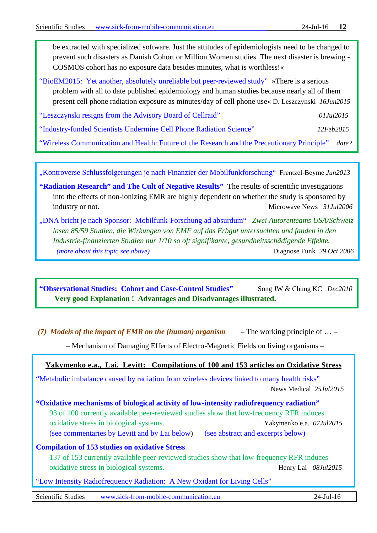be extracted with specialized software. Just the attitudes of epidemiologists need to be changed to prevent such disasters as Danish Cohort or Million Women studies. The next disaster is brewing - COSMOS cohort has no exposure data besides minutes, what is worthless!«

["BioEM2015: Yet another, absolutely unreliable](https://betweenrockandhardplace.wordpress.com/2015/06/16/bioem2015-yet-another-absolutely-unreliable-but-peer-reviewed-study/?fb_action_ids=891007987624860&fb_action_types=news.publishes) but peer-reviewed study" »There is a serious problem with all to date published epidemiology and human studies because nearly all of them present cell phone radiation exposure as minutes/day of cell phone use« D. Leszczynski *16Jun2015*

["Leszczynski resigns from the Advisory Board of Cellraid"](https://betweenrockandhardplace.wordpress.com/2015/07/01/leszczynski-resigns-from-the-advisory-board-of-cellraid/) *01Jul2015*

["Industry-funded Scientists Undermine Cell Phone Radiation Science"](http://www.saferemr.com/2015/02/industry-funded-scientists-undermine.html) *12Feb2015*

["Wireless Communication and Health: Future of the Research and the Precautionary Principle"](https://www.facebook.com/download/142197236130985/Leszczynski.pdf) *date?* 

["Kontroverse Schlussfolgerungen je nach Finanzier der Mobilfunkforschung"](http://www.diagnose-funk.org/downloads/emf_monitor_juni_13_frentzel_beyme_tumoren.pdf)Frentzel-Beyme *Jun2013*

**["Radiation Research" and The Cult of Negative Results"](http://www.microwavenews.com/RR.html)** The results of scientific investigations into the effects of non-ionizing EMR are highly dependent on whether the study is sponsored by industry or not. Microwave News *31Jul2006*

["DNA bricht je nach Sponsor: Mobilfunk-Forschung ad absurdum"](http://www.diagnose-funk.org/downloads/brennpunktdnabrichtjenachsponsor20061029.pdf) *Zwei Autorenteams USA/Schweiz lasen 85/59 Studien, die Wirkungen von EMF auf das Erbgut untersuchten und fanden in den Industrie-finanzierten Studien nur 1/10 so oft signifikante, gesundheitsschädigende Effekte. (more about this topic see above)* **Diagnose Funk** *29 Oct 2006* 

["Observational Studies: Cohort and Case-Control Studies"](http://www.ncbi.nlm.nih.gov/pmc/articles/PMC2998589/) Song JW & Chung KC *Dec2010* **Very good Explanation ! Advantages and Disadvantages illustrated.**

<span id="page-11-0"></span>*(7) Models of the impact of EMR on the (human) organism* – The working principle of … –

– Mechanism of Damaging Effects of Electro-Magnetic Fields on living organisms –

### **Yakymenko e.a., Lai, Levitt: Compilations of 100 and 153 articles on Oxidative Stress**

["Metabolic imbalance caused by radiation from wireless devices linked to many health risks"](http://www.news-medical.net/news/20150725/Metabolic-imbalance-caused-by-radiation-from-wireless-devices-linked-to-many-health-risks.aspx) News Medical *25Jul2015*

**"Oxidative mechanisms of biological [activity of low-intensity radiofrequency radiation"](http://informahealthcare.com/doi/abs/10.3109/15368378.2015.1043557)** 93 of 100 currently available peer-reviewed studies show that low-frequency RFR induces oxidative stress in biological systems. Yakymenko e.a. *07Jul2015* [\(see commentaries by Levitt and by Lai below\)](#page-17-0) (see abstract and excerpts below)

### **[Compilation of 153 studies on oxidative Stress](https://www.facebook.com/download/451643091675493/RFR%20oxidative%20effect%20studies%20-%20Compiled%20by%20H.%20Lai.pdf)**

137 of 153 currently available peer-reviewed studies show that low-frequency RFR induces oxidative stress in biological systems. Henry Lai *08Jul2015*

["Low Intensity Radiofrequency Radiation: A New Oxidant for Living Cells"](http://www.scopemed.org/fulltextpdf.php?mno=154583)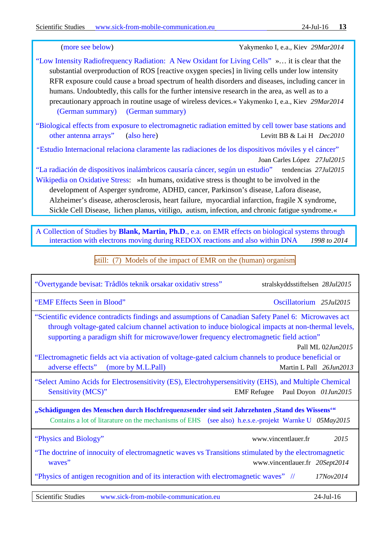(more see below) Yakymenko I, e.a., Kiev *29Mar2014*

- ["Low Intensity Radiofrequency Radiation: A New Oxidant for Living Cells"](http://www.scopemed.org/fulltextpdf.php?mno=154583) »… it is clear that the substantial overproduction of ROS [reactive oxygen species] in living cells under low intensity RFR exposure could cause a broad spectrum of health disorders and diseases, including cancer in humans. Undoubtedly, this calls for the further intensive research in the area, as well as to a precautionary approach in routine usage of wireless devices.« Yakymenko I, e.a., Kiev *29Mar2014* [\(German summary\) \(German summary\)](http://www.diagnose-funk.org/assets/df_bp_224_ros-yakymenko_140412.pdf)
- ["Biological effects from exposure to electromagnetic radiation emitted by cell tower base stations and](https://www.facebook.com/download/731631720296845/Bioeffects%20of%20telecom%20EMR%20-%20Levitt%20and%20Lai%20-%202010.pdf)  [other antenna arrays"](https://www.facebook.com/download/731631720296845/Bioeffects%20of%20telecom%20EMR%20-%20Levitt%20and%20Lai%20-%202010.pdf) [\(also here\)](http://www.nrcresearchpress.com/doi/pdf/10.1139/A10-018?src=recsys&) Levitt BB & Lai H *Dec2010*
- *"*[Estudio Internacional relaciona claramente las radiaciones de los dispositivos móviles y el cáncer"](https://radiaciones.wordpress.com/2015/07/27/estudio-internacional-relaciona-claramente-las-radiaciones-de-los-dispositivos-moviles-y-el-cancer/) [Joan Carles López](http://geobiologia.cat/) *27Jul2015*
- ["La radiación de dispositivos inalámbricos causaría cáncer, según un estudio"](http://www.tendencias21.net/La-radiacion-de-dispositivos-inalambricos-causaria-cancer-segun-un-estudio_a40900.html) tendencias *27Jul2015* [Wikipedia on Oxidative Stress:](https://en.wikipedia.org/wiki/Oxidative_stress) »In humans, oxidative stress is thought to be involved in the development of Asperger syndrome, ADHD, cancer, Parkinson's disease, Lafora disease, Alzheimer's disease, atherosclerosis, heart failure, myocardial infarction, fragile X syndrome, Sickle Cell Disease, lichen planus, vitiligo, autism, infection, and chronic fatigue syndrome.«

A Collection of Studies by **Blank, Martin, Ph.D**., e.a. on EMR effects on [biological systems through](http://www.physiology.columbia.edu/MartinBlank.html)  [interaction with electrons moving during REDOX reactions and also within DNA](http://www.physiology.columbia.edu/MartinBlank.html) *1998 to 2014*

still: (7) Models of the impact of EMR on the (human) organism

| "EMF Effects Seen in Blood"<br>Oscillatorium 25Jul2015<br>"Scientific evidence contradicts findings and assumptions of Canadian Safety Panel 6: Microwaves act<br>through voltage-gated calcium channel activation to induce biological impacts at non-thermal levels,<br>supporting a paradigm shift for microwave/lower frequency electromagnetic field action"<br>Pall ML 02Jun2015<br>"Electromagnetic fields act via activation of voltage-gated calcium channels to produce beneficial or<br>adverse effects"<br>(more by M.L.Pall)<br>Martin L Pall 26Jun2013<br>"Select Amino Acids for Electrosensitivity (ES), Electrohypersensitivity (EHS), and Multiple Chemical<br>Sensitivity (MCS)"<br>Paul Doyon 01Jun2015<br><b>EMF</b> Refugee<br>"Schädigungen des Menschen durch Hochfrequenzsender sind seit Jahrzehnten "Stand des Wissens""<br>Contains a lot of litarature on the mechanisms of EHS (see also) h.e.s.e.-projekt Warnke U 05May2015<br>"Physics and Biology"<br>www.vincentlauer.fr<br>2015<br>"The doctrine of innocuity of electromagnetic waves vs Transitions stimulated by the electromagnetic<br>waves"<br>www.vincentlauer.fr 20Sept2014<br>"Physics of antigen recognition and of its interaction with electromagnetic waves" //<br>17Nov2014 | "Övertygande bevisat: Trådlös teknik orsakar oxidativ stress" | stralskyddsstiftelsen 28Jul2015 |  |  |
|-------------------------------------------------------------------------------------------------------------------------------------------------------------------------------------------------------------------------------------------------------------------------------------------------------------------------------------------------------------------------------------------------------------------------------------------------------------------------------------------------------------------------------------------------------------------------------------------------------------------------------------------------------------------------------------------------------------------------------------------------------------------------------------------------------------------------------------------------------------------------------------------------------------------------------------------------------------------------------------------------------------------------------------------------------------------------------------------------------------------------------------------------------------------------------------------------------------------------------------------------------------------------------|---------------------------------------------------------------|---------------------------------|--|--|
|                                                                                                                                                                                                                                                                                                                                                                                                                                                                                                                                                                                                                                                                                                                                                                                                                                                                                                                                                                                                                                                                                                                                                                                                                                                                               |                                                               |                                 |  |  |
|                                                                                                                                                                                                                                                                                                                                                                                                                                                                                                                                                                                                                                                                                                                                                                                                                                                                                                                                                                                                                                                                                                                                                                                                                                                                               |                                                               |                                 |  |  |
|                                                                                                                                                                                                                                                                                                                                                                                                                                                                                                                                                                                                                                                                                                                                                                                                                                                                                                                                                                                                                                                                                                                                                                                                                                                                               |                                                               |                                 |  |  |
|                                                                                                                                                                                                                                                                                                                                                                                                                                                                                                                                                                                                                                                                                                                                                                                                                                                                                                                                                                                                                                                                                                                                                                                                                                                                               |                                                               |                                 |  |  |
|                                                                                                                                                                                                                                                                                                                                                                                                                                                                                                                                                                                                                                                                                                                                                                                                                                                                                                                                                                                                                                                                                                                                                                                                                                                                               |                                                               |                                 |  |  |
|                                                                                                                                                                                                                                                                                                                                                                                                                                                                                                                                                                                                                                                                                                                                                                                                                                                                                                                                                                                                                                                                                                                                                                                                                                                                               |                                                               |                                 |  |  |
|                                                                                                                                                                                                                                                                                                                                                                                                                                                                                                                                                                                                                                                                                                                                                                                                                                                                                                                                                                                                                                                                                                                                                                                                                                                                               |                                                               |                                 |  |  |
|                                                                                                                                                                                                                                                                                                                                                                                                                                                                                                                                                                                                                                                                                                                                                                                                                                                                                                                                                                                                                                                                                                                                                                                                                                                                               |                                                               |                                 |  |  |
|                                                                                                                                                                                                                                                                                                                                                                                                                                                                                                                                                                                                                                                                                                                                                                                                                                                                                                                                                                                                                                                                                                                                                                                                                                                                               |                                                               |                                 |  |  |

Scientific Studies [www.sick-from-mobile-communication.eu](http://www.sick-from-mobile-communication.eu/) 24-Jul-16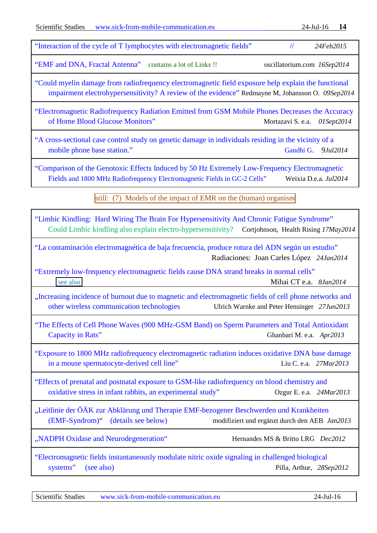| "EMF and DNA, Fractal Antenna" contains a lot of Links!!                                                                                                                  | oscillatorium.com 16Sep2014                                                                       |
|---------------------------------------------------------------------------------------------------------------------------------------------------------------------------|---------------------------------------------------------------------------------------------------|
| "Could myelin damage from radiofrequency electromagnetic field exposure help explain the functional                                                                       | impairment electrohypersensitivity? A review of the evidence" Redmayne M, Johansson O. 09Sep2014  |
| "Electromagnetic Radiofrequency Radiation Emitted from GSM Mobile Phones Decreases the Accuracy<br>of Home Blood Glucose Monitors"                                        | Mortazavi S. e.a. 01Sept2014                                                                      |
| "A cross-sectional case control study on genetic damage in individuals residing in the vicinity of a<br>mobile phone base station."                                       | Gandhi G.<br>9Jul2014                                                                             |
| "Comparison of the Genotoxic Effects Induced by 50 Hz Extremely Low-Frequency Electromagnetic<br>Fields and 1800 MHz Radiofrequency Electromagnetic Fields in GC-2 Cells" | Weixia D.e.a. Jul2014                                                                             |
|                                                                                                                                                                           | still: (7) Models of the impact of EMR on the (human) organism                                    |
| "Limbic Kindling: Hard Wiring The Brain For Hypersensitivity And Chronic Fatigue Syndrome"                                                                                | Could Limbic kindling also explain electro-hypersensitivity? Cortjohnson, Health Rising 17May2014 |
| "La contaminación electromagnética de baja frecuencia, produce rotura del ADN según un estudio"                                                                           | Radiaciones: Joan Carles López 24Jan2014                                                          |
| "Extremely low-frequency electromagnetic fields cause DNA strand breaks in normal cells"<br>see also                                                                      | Mihai CT e.a. 8Jan2014                                                                            |
| "Increasing incidence of burnout due to magnetic and electromagnetic fields of cell phone networks and<br>other wireless communication technologies                       | Ulrich Warnke and Peter Hensinger 27Jun2013                                                       |
| "The Effects of Cell Phone Waves (900 MHz-GSM Band) on Sperm Parameters and Total Antioxidant<br>Capacity in Rats"                                                        | Ghanbari M. e.a. Apr2013                                                                          |
| "Exposure to 1800 MHz radiofrequency electromagnetic radiation induces oxidative DNA base damage<br>in a mouse spermatocyte-derived cell line"                            | Liu C. e.a. 27Mar2013                                                                             |
| "Effects of prenatal and postnatal exposure to GSM-like radiofrequency on blood chemistry and<br>oxidative stress in infant rabbits, an experimental study"               | Ozgur E. e.a. 24Mar2013                                                                           |
| "Leitlinie der ÖÄK zur Abklärung und Therapie EMF-bezogener Beschwerden und Krankheiten<br>$(EMF-Syndrom)$ "<br>(details see below)                                       | modifiziert und ergänzt durch den AEB Jan2013                                                     |
| "NADPH Oxidase and Neurodegeneration"                                                                                                                                     | Hernandes MS & Britto LRG Dec2012                                                                 |
| "Electromagnetic fields instantaneously modulate nitric oxide signaling in challenged biological<br>systems"<br>(see also)                                                | Pilla, Arthur, 28Sep2012                                                                          |
|                                                                                                                                                                           |                                                                                                   |
| <b>Scientific Studies</b><br>www.sick-from-mobile-communication.eu                                                                                                        | 24-Jul-16                                                                                         |

["Interaction of the cycle of T lymphocytes with electromagnetic fields"](http://www.vincent-lauer.fr/cycle-of-T-lymphocytes.pdf) // *24Feb2015*

Scientific Studies [www.sick-from-mobile-communication.eu](http://www.sick-from-mobile-communication.eu/) 24-Jul-16 **14**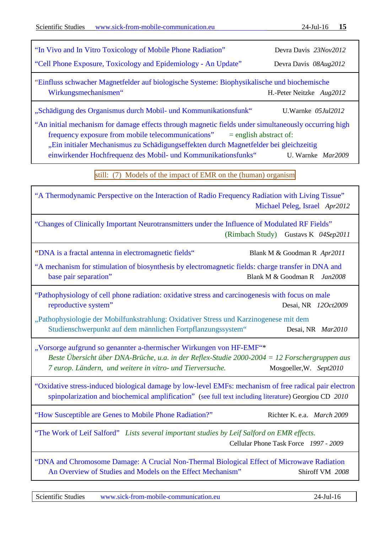| "In Vivo and In Vitro Toxicology of Mobile Phone Radiation"                                                                                                                                                                                                                                                          | Devra Davis 23Nov2012                         |
|----------------------------------------------------------------------------------------------------------------------------------------------------------------------------------------------------------------------------------------------------------------------------------------------------------------------|-----------------------------------------------|
| "Cell Phone Exposure, Toxicology and Epidemiology - An Update"                                                                                                                                                                                                                                                       | Devra Davis 08Aug2012                         |
| "Einfluss schwacher Magnetfelder auf biologische Systeme: Biophysikalische und biochemische<br>Wirkungsmechanismen"                                                                                                                                                                                                  | H.-Peter Neitzke Aug2012                      |
| "Schädigung des Organismus durch Mobil- und Kommunikationsfunk"                                                                                                                                                                                                                                                      | U.Warnke 05Jul2012                            |
| "An initial mechanism for damage effects through magnetic fields under simultaneously occurring high<br>frequency exposure from mobile telecommunications"<br>"Ein initialer Mechanismus zu Schädigungseffekten durch Magnetfelder bei gleichzeitig<br>einwirkender Hochfrequenz des Mobil- und Kommunikationsfunks" | $=$ english abstract of:<br>U. Warnke Mar2009 |
| still: (7) Models of the impact of EMR on the (human) organism                                                                                                                                                                                                                                                       |                                               |
| "A Thermodynamic Perspective on the Interaction of Radio Frequency Radiation with Living Tissue"                                                                                                                                                                                                                     | Michael Peleg, Israel Apr2012                 |
| "Changes of Clinically Important Neurotransmitters under the Influence of Modulated RF Fields"                                                                                                                                                                                                                       | (Rimbach Study) Gustavs K 04Sep2011           |
| "DNA is a fractal antenna in electromagnetic fields"                                                                                                                                                                                                                                                                 | Blank M & Goodman R Apr2011                   |
| "A mechanism for stimulation of biosynthesis by electromagnetic fields: charge transfer in DNA and<br>base pair separation"                                                                                                                                                                                          | Blank M & Goodman R Jan2008                   |
| "Pathophysiology of cell phone radiation: oxidative stress and carcinogenesis with focus on male<br>reproductive system"                                                                                                                                                                                             | Desai, NR 120ct2009                           |
| "Pathophysiologie der Mobilfunkstrahlung: Oxidativer Stress und Karzinogenese mit dem<br>Studienschwerpunkt auf dem männlichen Fortpflanzungssystem" Desai, NR Mar2010                                                                                                                                               |                                               |
| "Vorsorge aufgrund so genannter a-thermischer Wirkungen von HF-EMF"*<br>Beste Übersicht über DNA-Brüche, u.a. in der Reflex-Studie 2000-2004 = 12 Forschergruppen aus<br>7 europ. Ländern, und weitere in vitro- und Tierversuche.                                                                                   | Mosgoeller, W. Sept2010                       |
| "Oxidative stress-induced biological damage by low-level EMFs: mechanism of free radical pair electron<br>spinpolarization and biochemical amplification" (see full text including literature) Georgiou CD 2010                                                                                                      |                                               |
| "How Susceptible are Genes to Mobile Phone Radiation?"                                                                                                                                                                                                                                                               | Richter K. e.a. March 2009                    |
| "The Work of Leif Salford" Lists several important studies by Leif Salford on EMR effects.                                                                                                                                                                                                                           | Cellular Phone Task Force 1997 - 2009         |
| "DNA and Chromosome Damage: A Crucial Non-Thermal Biological Effect of Microwave Radiation<br>An Overview of Studies and Models on the Effect Mechanism"                                                                                                                                                             | Shiroff VM 2008                               |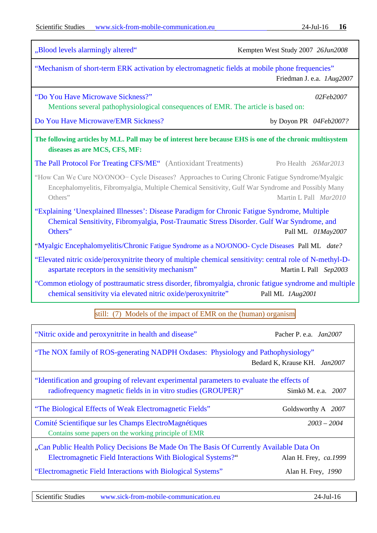| "Blood levels alarmingly altered"                                                                                                                                                                                                          | Kempten West Study 2007 26Jun2008                                                              |  |  |  |
|--------------------------------------------------------------------------------------------------------------------------------------------------------------------------------------------------------------------------------------------|------------------------------------------------------------------------------------------------|--|--|--|
| "Mechanism of short-term ERK activation by electromagnetic fields at mobile phone frequencies"<br>Friedman J. e.a. <i>1Aug2007</i>                                                                                                         |                                                                                                |  |  |  |
| "Do You Have Microwave Sickness?"<br>Mentions several pathophysiological consequences of EMR. The article is based on:                                                                                                                     | 02Feb2007                                                                                      |  |  |  |
| Do You Have Microwave/EMR Sickness?                                                                                                                                                                                                        | by Doyon PR 04Feb2007?                                                                         |  |  |  |
| The following articles by M.L. Pall may be of interest here because EHS is one of the chronic multisystem<br>diseases as are MCS, CFS, MF:                                                                                                 |                                                                                                |  |  |  |
| <b>The Pall Protocol For Treating CFS/ME</b> " (Antioxidant Treatments)                                                                                                                                                                    | Pro Health 26Mar2013                                                                           |  |  |  |
| "How Can We Cure NO/ONOO- Cycle Diseases? Approaches to Curing Chronic Fatigue Syndrome/Myalgic<br>Encephalomyelitis, Fibromyalgia, Multiple Chemical Sensitivity, Gulf War Syndrome and Possibly Many<br>Others"<br>Martin L Pall Mar2010 |                                                                                                |  |  |  |
| "Explaining 'Unexplained Illnesses': Disease Paradigm for Chronic Fatigue Syndrome, Multiple<br>Chemical Sensitivity, Fibromyalgia, Post-Traumatic Stress Disorder. Gulf War Syndrome, and<br>Others"<br>Pall ML 01May2007                 |                                                                                                |  |  |  |
|                                                                                                                                                                                                                                            | "Myalgic Encephalomyelitis/Chronic Fatigue Syndrome as a NO/ONOO- Cycle Diseases Pall ML date? |  |  |  |
| "Elevated nitric oxide/peroxynitrite theory of multiple chemical sensitivity: central role of N-methyl-D-<br>aspartate receptors in the sensitivity mechanism"                                                                             | Martin L Pall Sep2003                                                                          |  |  |  |
| "Common etiology of posttraumatic stress disorder, fibromyalgia, chronic fatigue syndrome and multiple<br>chemical sensitivity via elevated nitric oxide/peroxynitrite"                                                                    | Pall ML 1Aug2001                                                                               |  |  |  |
| still: (7) Models of the impact of EMR on the (human) organism                                                                                                                                                                             |                                                                                                |  |  |  |
| "Nitric oxide and peroxynitrite in health and disease"                                                                                                                                                                                     | Pacher P. e.a. Jan2007                                                                         |  |  |  |
| "The NOX family of ROS-generating NADPH Oxdases: Physiology and Pathophysiology"<br>Bedard K, Krause KH. Jan2007                                                                                                                           |                                                                                                |  |  |  |
| "Identification and grouping of relevant experimental parameters to evaluate the effects of<br>radiofrequency magnetic fields in in vitro studies (GROUPER)"                                                                               | Simkö M. e.a. 2007                                                                             |  |  |  |
| "The Biological Effects of Weak Electromagnetic Fields"                                                                                                                                                                                    | Goldsworthy A 2007                                                                             |  |  |  |
| Comité Scientifique sur les Champs ElectroMagnétiques<br>Contains some papers on the working principle of EMR                                                                                                                              | $2003 - 2004$                                                                                  |  |  |  |
| "Can Public Health Policy Decisions Be Made On The Basis Of Currently Available Data On                                                                                                                                                    |                                                                                                |  |  |  |
| <b>Electromagnetic Field Interactions With Biological Systems?"</b><br>"Electromagnetic Field Interactions with Biological Systems"                                                                                                        | Alan H. Frey, ca.1999<br>Alan H. Frey, 1990                                                    |  |  |  |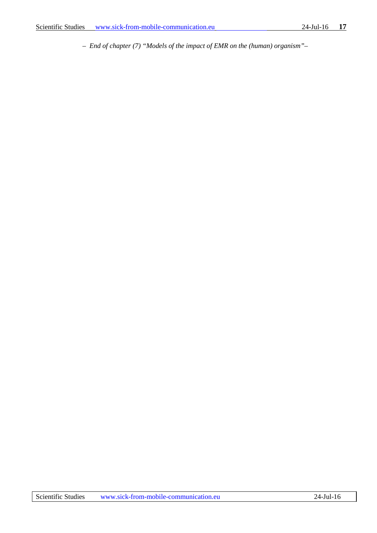*– End of chapter (7) "Models of the impact of EMR on the (human) organism"–*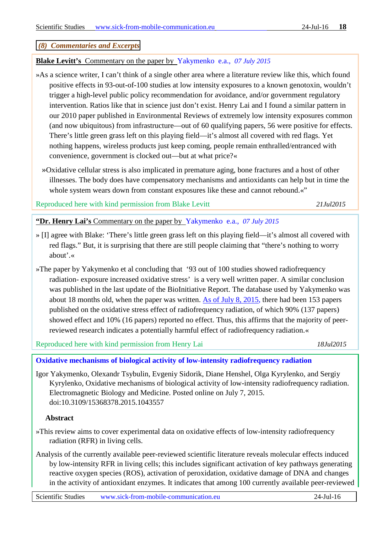### <span id="page-17-0"></span>*(8) Commentaries and Excerpts*

### **Blake Levitt's** Commentary on the paper by Yakymenko e.a., *07 July 2015*

- »As a science writer, I can't think of a single other area where a literature review like this, which found positive effects in 93-out-of-100 studies at low intensity exposures to a known genotoxin, wouldn't trigger a high-level public policy recommendation for avoidance, and/or government regulatory intervention. Ratios like that in science just don't exist. Henry Lai and I found a similar pattern in our 2010 paper published in Environmental Reviews of extremely low intensity exposures common (and now ubiquitous) from infrastructure—out of 60 qualifying papers, 56 were positive for effects. There's little green grass left on this playing field—it's almost all covered with red flags. Yet nothing happens, wireless products just keep coming, people remain enthralled/entranced with convenience, government is clocked out—but at what price?«
	- »Oxidative cellular stress is also implicated in premature aging, bone fractures and a host of other illnesses. The body does have compensatory mechanisms and antioxidants can help but in time the whole system wears down from constant exposures like these and cannot rebound.«"

Reproduced here with kind permission from Blake Levitt *21Jul2015*

**"Dr. Henry Lai's** Commentary on the paper by Yakymenko e.a., *07 July 2015*

- » [I] agree with Blake: 'There's little green grass left on this playing field—it's almost all covered with red flags." But, it is surprising that there are still people claiming that "there's nothing to worry about'.«
- »The paper by Yakymenko et al concluding that '93 out of 100 studies showed radiofrequency radiation- exposure increased oxidative stress' is a very well written paper. A similar conclusion was published in the last update of the BioInitiative Report. The database used by Yakymenko was about 18 months old, when the paper was written. As of July 8, 2015, there had been 153 papers published on the oxidative stress effect of radiofrequency radiation, of which 90% (137 papers) showed effect and 10% (16 papers) reported no effect. Thus, this affirms that the majority of peerreviewed research indicates a potentially harmful effect of radiofrequency radiation.«

Reproduced here with kind permission from Henry Lai *18Jul2015*

### **[Oxidative mechanisms of biological activity of low-intensity radiofrequency radiation](http://informahealthcare.com/doi/abs/10.3109/15368378.2015.1043557)**

Igor Yakymenko, Olexandr Tsybulin, Evgeniy Sidorik, Diane Henshel, Olga Kyrylenko, and Sergiy Kyrylenko, Oxidative mechanisms of biological activity of low-intensity radiofrequency radiation. Electromagnetic Biology and Medicine. Posted online on July 7, 2015. doi:10.3109/15368378.2015.1043557

### **Abstract**

- »This review aims to cover experimental data on oxidative effects of low-intensity radiofrequency radiation (RFR) in living cells.
- Analysis of the currently available peer-reviewed scientific literature reveals molecular effects induced by low-intensity RFR in living cells; this includes significant activation of key pathways generating reactive oxygen species (ROS), activation of peroxidation, oxidative damage of DNA and changes in the activity of antioxidant enzymes. It indicates that among 100 currently available peer-reviewed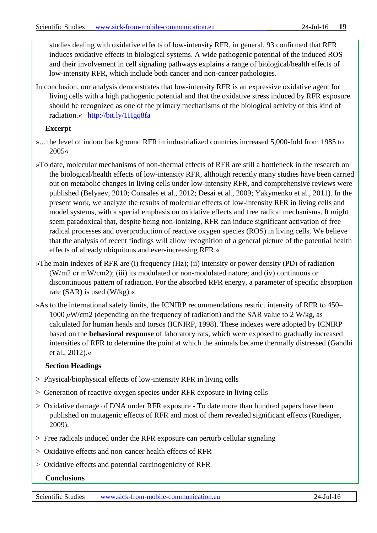studies dealing with oxidative effects of low-intensity RFR, in general, 93 confirmed that RFR induces oxidative effects in biological systems. A wide pathogenic potential of the induced ROS and their involvement in cell signaling pathways explains a range of biological/health effects of low-intensity RFR, which include both cancer and non-cancer pathologies.

In conclusion, our analysis demonstrates that low-intensity RFR is an expressive oxidative agent for living cells with a high pathogenic potential and that the oxidative stress induced by RFR exposure should be recognized as one of the primary mechanisms of the biological activity of this kind of radiation.« http://bit.ly/1Hgq8fa

# **Excerpt**

- »... the level of indoor background RFR in industrialized countries increased 5,000-fold from 1985 to 2005«
- »To date, molecular mechanisms of non-thermal effects of RFR are still a bottleneck in the research on the biological/health effects of low-intensity RFR, although recently many studies have been carried out on metabolic changes in living cells under low-intensity RFR, and comprehensive reviews were published (Belyaev, 2010; Consales et al., 2012; Desai et al., 2009; Yakymenko et al., 2011). In the present work, we analyze the results of molecular effects of low-intensity RFR in living cells and model systems, with a special emphasis on oxidative effects and free radical mechanisms. It might seem paradoxical that, despite being non-ionizing, RFR can induce significant activation of free radical processes and overproduction of reactive oxygen species (ROS) in living cells. We believe that the analysis of recent findings will allow recognition of a general picture of the potential health effects of already ubiquitous and ever-increasing RFR.«
- »The main indexes of RFR are (i) frequency (Hz); (ii) intensity or power density (PD) of radiation (W/m2 or mW/cm2); (iii) its modulated or non-modulated nature; and (iv) continuous or discontinuous pattern of radiation. For the absorbed RFR energy, a parameter of specific absorption rate (SAR) is used (W/kg).«
- »As to the international safety limits, the ICNIRP recommendations restrict intensity of RFR to 450–  $1000 \mu$ W/cm2 (depending on the frequency of radiation) and the SAR value to 2 W/kg, as calculated for human heads and torsos (ICNIRP, 1998). These indexes were adopted by ICNIRP based on the **behavioral response** of laboratory rats, which were exposed to gradually increased intensities of RFR to determine the point at which the animals became thermally distressed (Gandhi et al., 2012).«

# **Section Headings**

- > Physical/biophysical effects of low-intensity RFR in living cells
- > Generation of reactive oxygen species under RFR exposure in living cells
- > Oxidative damage of DNA under RFR exposure To date more than hundred papers have been published on mutagenic effects of RFR and most of them revealed significant effects (Ruediger, 2009).
- > Free radicals induced under the RFR exposure can perturb cellular signaling
- > Oxidative effects and non-cancer health effects of RFR
- > Oxidative effects and potential carcinogenicity of RFR
	- **Conclusions**